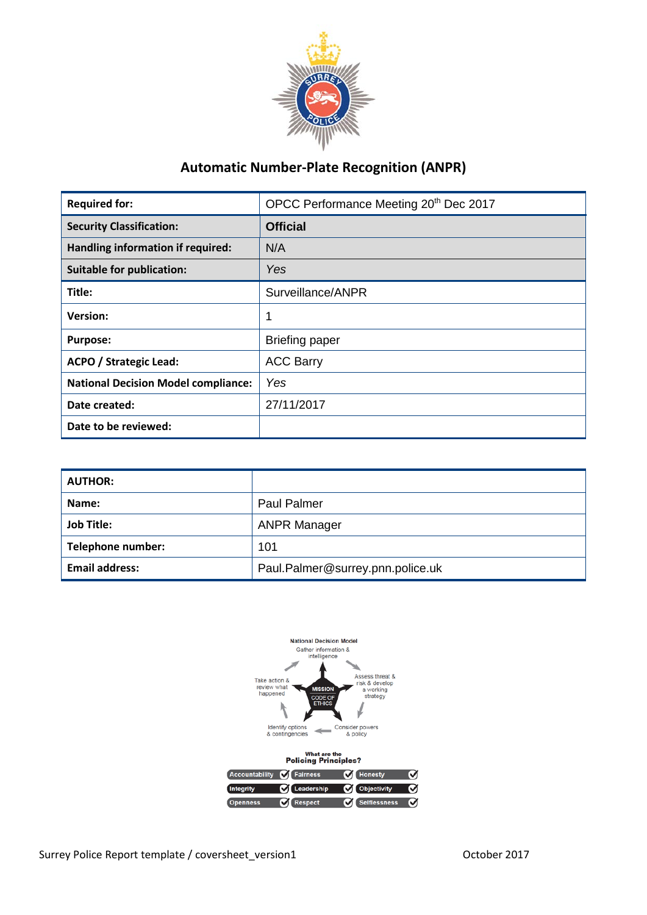

# **Automatic Number-Plate Recognition (ANPR)**

| <b>Required for:</b>                       | OPCC Performance Meeting 20th Dec 2017 |
|--------------------------------------------|----------------------------------------|
| <b>Security Classification:</b>            | <b>Official</b>                        |
| Handling information if required:          | N/A                                    |
| <b>Suitable for publication:</b>           | Yes                                    |
| Title:                                     | Surveillance/ANPR                      |
| <b>Version:</b>                            |                                        |
| <b>Purpose:</b>                            | <b>Briefing paper</b>                  |
| <b>ACPO / Strategic Lead:</b>              | <b>ACC Barry</b>                       |
| <b>National Decision Model compliance:</b> | Yes                                    |
| Date created:                              | 27/11/2017                             |
| Date to be reviewed:                       |                                        |

| <b>AUTHOR:</b>        |                                  |
|-----------------------|----------------------------------|
| Name:                 | <b>Paul Palmer</b>               |
| <b>Job Title:</b>     | <b>ANPR Manager</b>              |
| Telephone number:     | 101                              |
| <b>Email address:</b> | Paul.Palmer@surrey.pnn.police.uk |

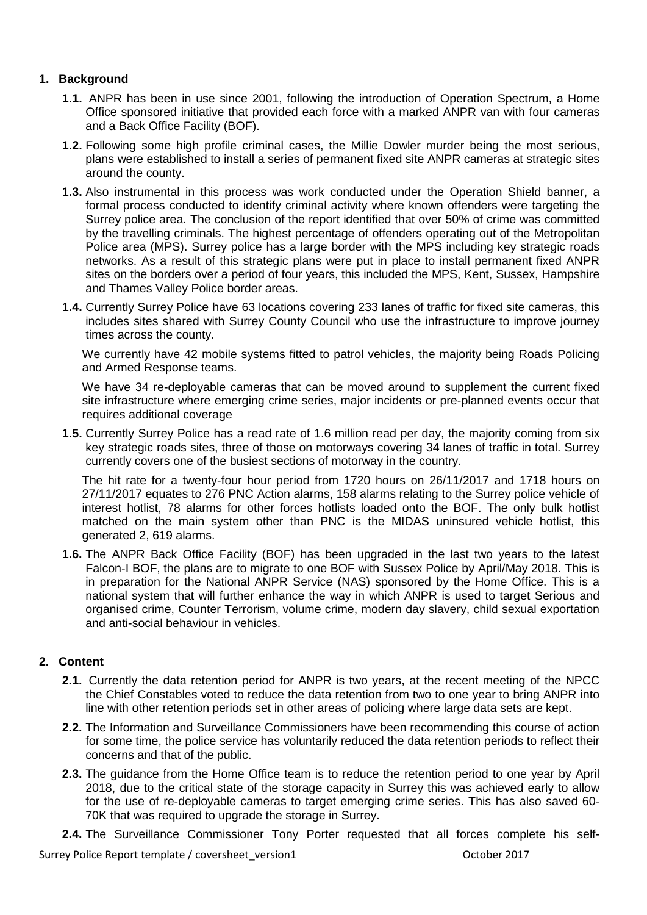## **1. Background**

- **1.1.** ANPR has been in use since 2001, following the introduction of Operation Spectrum, a Home Office sponsored initiative that provided each force with a marked ANPR van with four cameras and a Back Office Facility (BOF).
- **1.2.** Following some high profile criminal cases, the Millie Dowler murder being the most serious, plans were established to install a series of permanent fixed site ANPR cameras at strategic sites around the county.
- **1.3.** Also instrumental in this process was work conducted under the Operation Shield banner, a formal process conducted to identify criminal activity where known offenders were targeting the Surrey police area. The conclusion of the report identified that over 50% of crime was committed by the travelling criminals. The highest percentage of offenders operating out of the Metropolitan Police area (MPS). Surrey police has a large border with the MPS including key strategic roads networks. As a result of this strategic plans were put in place to install permanent fixed ANPR sites on the borders over a period of four years, this included the MPS, Kent, Sussex, Hampshire and Thames Valley Police border areas.
- **1.4.** Currently Surrey Police have 63 locations covering 233 lanes of traffic for fixed site cameras, this includes sites shared with Surrey County Council who use the infrastructure to improve journey times across the county.

We currently have 42 mobile systems fitted to patrol vehicles, the majority being Roads Policing and Armed Response teams.

We have 34 re-deployable cameras that can be moved around to supplement the current fixed site infrastructure where emerging crime series, major incidents or pre-planned events occur that requires additional coverage

**1.5.** Currently Surrey Police has a read rate of 1.6 million read per day, the majority coming from six key strategic roads sites, three of those on motorways covering 34 lanes of traffic in total. Surrey currently covers one of the busiest sections of motorway in the country.

The hit rate for a twenty-four hour period from 1720 hours on 26/11/2017 and 1718 hours on 27/11/2017 equates to 276 PNC Action alarms, 158 alarms relating to the Surrey police vehicle of interest hotlist, 78 alarms for other forces hotlists loaded onto the BOF. The only bulk hotlist matched on the main system other than PNC is the MIDAS uninsured vehicle hotlist, this generated 2, 619 alarms.

**1.6.** The ANPR Back Office Facility (BOF) has been upgraded in the last two years to the latest Falcon-I BOF, the plans are to migrate to one BOF with Sussex Police by April/May 2018. This is in preparation for the National ANPR Service (NAS) sponsored by the Home Office. This is a national system that will further enhance the way in which ANPR is used to target Serious and organised crime, Counter Terrorism, volume crime, modern day slavery, child sexual exportation and anti-social behaviour in vehicles.

### **2. Content**

- **2.1.** Currently the data retention period for ANPR is two years, at the recent meeting of the NPCC the Chief Constables voted to reduce the data retention from two to one year to bring ANPR into line with other retention periods set in other areas of policing where large data sets are kept.
- **2.2.** The Information and Surveillance Commissioners have been recommending this course of action for some time, the police service has voluntarily reduced the data retention periods to reflect their concerns and that of the public.
- **2.3.** The guidance from the Home Office team is to reduce the retention period to one year by April 2018, due to the critical state of the storage capacity in Surrey this was achieved early to allow for the use of re-deployable cameras to target emerging crime series. This has also saved 60- 70K that was required to upgrade the storage in Surrey.
- **2.4.** The Surveillance Commissioner Tony Porter requested that all forces complete his self-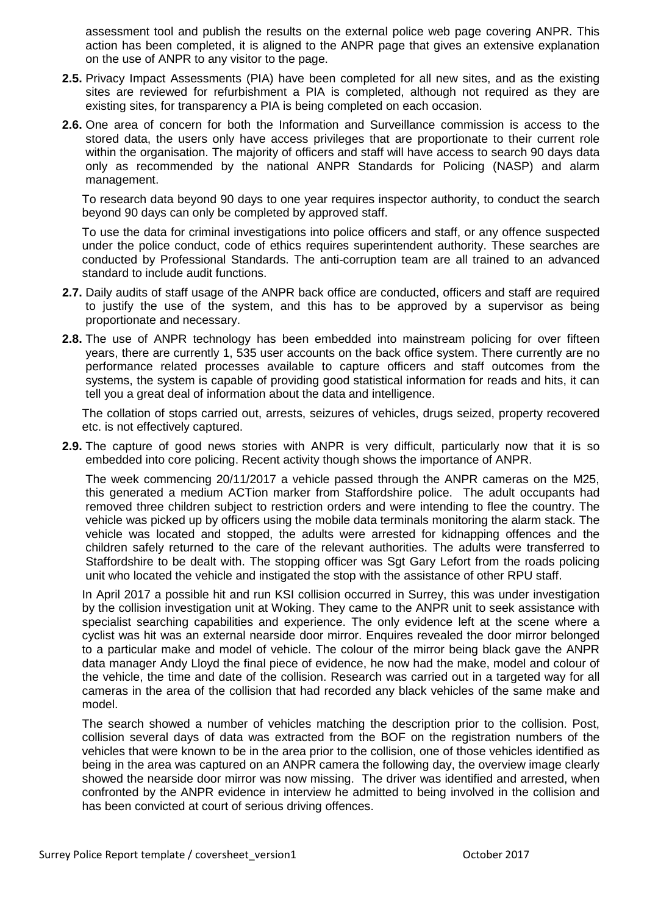assessment tool and publish the results on the external police web page covering ANPR. This action has been completed, it is aligned to the ANPR page that gives an extensive explanation on the use of ANPR to any visitor to the page.

- **2.5.** Privacy Impact Assessments (PIA) have been completed for all new sites, and as the existing sites are reviewed for refurbishment a PIA is completed, although not required as they are existing sites, for transparency a PIA is being completed on each occasion.
- **2.6.** One area of concern for both the Information and Surveillance commission is access to the stored data, the users only have access privileges that are proportionate to their current role within the organisation. The majority of officers and staff will have access to search 90 days data only as recommended by the national ANPR Standards for Policing (NASP) and alarm management.

To research data beyond 90 days to one year requires inspector authority, to conduct the search beyond 90 days can only be completed by approved staff.

To use the data for criminal investigations into police officers and staff, or any offence suspected under the police conduct, code of ethics requires superintendent authority. These searches are conducted by Professional Standards. The anti-corruption team are all trained to an advanced standard to include audit functions.

- **2.7.** Daily audits of staff usage of the ANPR back office are conducted, officers and staff are required to justify the use of the system, and this has to be approved by a supervisor as being proportionate and necessary.
- **2.8.** The use of ANPR technology has been embedded into mainstream policing for over fifteen years, there are currently 1, 535 user accounts on the back office system. There currently are no performance related processes available to capture officers and staff outcomes from the systems, the system is capable of providing good statistical information for reads and hits, it can tell you a great deal of information about the data and intelligence.

The collation of stops carried out, arrests, seizures of vehicles, drugs seized, property recovered etc. is not effectively captured.

**2.9.** The capture of good news stories with ANPR is very difficult, particularly now that it is so embedded into core policing. Recent activity though shows the importance of ANPR.

The week commencing 20/11/2017 a vehicle passed through the ANPR cameras on the M25, this generated a medium ACTion marker from Staffordshire police. The adult occupants had removed three children subject to restriction orders and were intending to flee the country. The vehicle was picked up by officers using the mobile data terminals monitoring the alarm stack. The vehicle was located and stopped, the adults were arrested for kidnapping offences and the children safely returned to the care of the relevant authorities. The adults were transferred to Staffordshire to be dealt with. The stopping officer was Sgt Gary Lefort from the roads policing unit who located the vehicle and instigated the stop with the assistance of other RPU staff.

In April 2017 a possible hit and run KSI collision occurred in Surrey, this was under investigation by the collision investigation unit at Woking. They came to the ANPR unit to seek assistance with specialist searching capabilities and experience. The only evidence left at the scene where a cyclist was hit was an external nearside door mirror. Enquires revealed the door mirror belonged to a particular make and model of vehicle. The colour of the mirror being black gave the ANPR data manager Andy Lloyd the final piece of evidence, he now had the make, model and colour of the vehicle, the time and date of the collision. Research was carried out in a targeted way for all cameras in the area of the collision that had recorded any black vehicles of the same make and model.

The search showed a number of vehicles matching the description prior to the collision. Post, collision several days of data was extracted from the BOF on the registration numbers of the vehicles that were known to be in the area prior to the collision, one of those vehicles identified as being in the area was captured on an ANPR camera the following day, the overview image clearly showed the nearside door mirror was now missing. The driver was identified and arrested, when confronted by the ANPR evidence in interview he admitted to being involved in the collision and has been convicted at court of serious driving offences.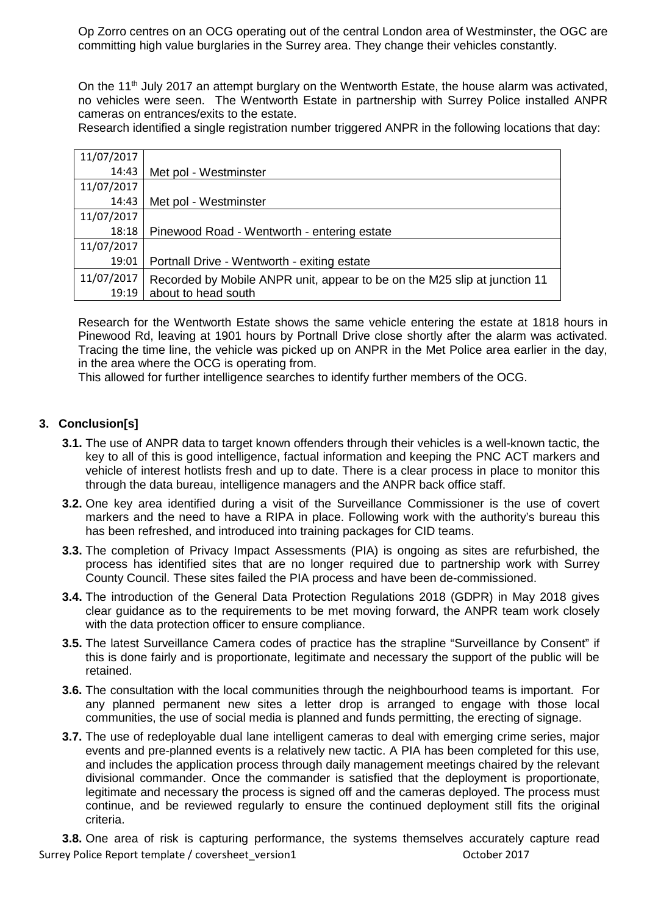Op Zorro centres on an OCG operating out of the central London area of Westminster, the OGC are committing high value burglaries in the Surrey area. They change their vehicles constantly.

On the 11<sup>th</sup> July 2017 an attempt burglary on the Wentworth Estate, the house alarm was activated, no vehicles were seen. The Wentworth Estate in partnership with Surrey Police installed ANPR cameras on entrances/exits to the estate.

Research identified a single registration number triggered ANPR in the following locations that day:

| 11/07/2017 |                                                                           |
|------------|---------------------------------------------------------------------------|
| 14:43      | Met pol - Westminster                                                     |
| 11/07/2017 |                                                                           |
| 14:43      | Met pol - Westminster                                                     |
| 11/07/2017 |                                                                           |
| 18:18      | Pinewood Road - Wentworth - entering estate                               |
| 11/07/2017 |                                                                           |
| 19:01      | Portnall Drive - Wentworth - exiting estate                               |
| 11/07/2017 | Recorded by Mobile ANPR unit, appear to be on the M25 slip at junction 11 |
| 19:19      | about to head south                                                       |

Research for the Wentworth Estate shows the same vehicle entering the estate at 1818 hours in Pinewood Rd, leaving at 1901 hours by Portnall Drive close shortly after the alarm was activated. Tracing the time line, the vehicle was picked up on ANPR in the Met Police area earlier in the day, in the area where the OCG is operating from.

This allowed for further intelligence searches to identify further members of the OCG.

#### **3. Conclusion[s]**

- **3.1.** The use of ANPR data to target known offenders through their vehicles is a well-known tactic, the key to all of this is good intelligence, factual information and keeping the PNC ACT markers and vehicle of interest hotlists fresh and up to date. There is a clear process in place to monitor this through the data bureau, intelligence managers and the ANPR back office staff.
- **3.2.** One key area identified during a visit of the Surveillance Commissioner is the use of covert markers and the need to have a RIPA in place. Following work with the authority's bureau this has been refreshed, and introduced into training packages for CID teams.
- **3.3.** The completion of Privacy Impact Assessments (PIA) is ongoing as sites are refurbished, the process has identified sites that are no longer required due to partnership work with Surrey County Council. These sites failed the PIA process and have been de-commissioned.
- **3.4.** The introduction of the General Data Protection Regulations 2018 (GDPR) in May 2018 gives clear guidance as to the requirements to be met moving forward, the ANPR team work closely with the data protection officer to ensure compliance.
- **3.5.** The latest Surveillance Camera codes of practice has the strapline "Surveillance by Consent" if this is done fairly and is proportionate, legitimate and necessary the support of the public will be retained.
- **3.6.** The consultation with the local communities through the neighbourhood teams is important. For any planned permanent new sites a letter drop is arranged to engage with those local communities, the use of social media is planned and funds permitting, the erecting of signage.
- **3.7.** The use of redeployable dual lane intelligent cameras to deal with emerging crime series, major events and pre-planned events is a relatively new tactic. A PIA has been completed for this use, and includes the application process through daily management meetings chaired by the relevant divisional commander. Once the commander is satisfied that the deployment is proportionate, legitimate and necessary the process is signed off and the cameras deployed. The process must continue, and be reviewed regularly to ensure the continued deployment still fits the original criteria.

Surrey Police Report template / coversheet version1 October 2017 **3.8.** One area of risk is capturing performance, the systems themselves accurately capture read